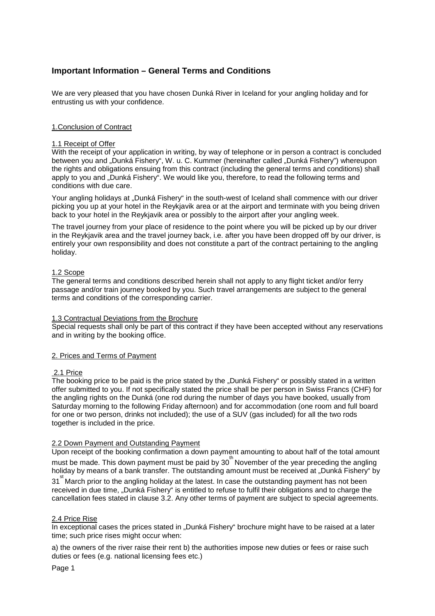# **Important Information – General Terms and Conditions**

We are very pleased that you have chosen Dunká River in Iceland for your angling holiday and for entrusting us with your confidence.

# 1.Conclusion of Contract

## 1.1 Receipt of Offer

With the receipt of your application in writing, by way of telephone or in person a contract is concluded between you and "Dunká Fishery", W. u. C. Kummer (hereinafter called "Dunká Fishery") whereupon the rights and obligations ensuing from this contract (including the general terms and conditions) shall apply to you and "Dunká Fishery". We would like you, therefore, to read the following terms and conditions with due care.

Your angling holidays at "Dunká Fishery" in the south-west of Iceland shall commence with our driver picking you up at your hotel in the Reykjavik area or at the airport and terminate with you being driven back to your hotel in the Reykjavik area or possibly to the airport after your angling week.

The travel journey from your place of residence to the point where you will be picked up by our driver in the Reykjavik area and the travel journey back, i.e. after you have been dropped off by our driver, is entirely your own responsibility and does not constitute a part of the contract pertaining to the angling holiday.

# 1.2 Scope

The general terms and conditions described herein shall not apply to any flight ticket and/or ferry passage and/or train journey booked by you. Such travel arrangements are subject to the general terms and conditions of the corresponding carrier.

## 1.3 Contractual Deviations from the Brochure

Special requests shall only be part of this contract if they have been accepted without any reservations and in writing by the booking office.

## 2. Prices and Terms of Payment

## 2.1 Price

The booking price to be paid is the price stated by the "Dunká Fishery" or possibly stated in a written offer submitted to you. If not specifically stated the price shall be per person in Swiss Francs (CHF) for the angling rights on the Dunká (one rod during the number of days you have booked, usually from Saturday morning to the following Friday afternoon) and for accommodation (one room and full board for one or two person, drinks not included); the use of a SUV (gas included) for all the two rods together is included in the price.

## 2.2 Down Payment and Outstanding Payment

Upon receipt of the booking confirmation a down payment amounting to about half of the total amount must be made. This down payment must be paid by 30<sup>th</sup> November of the year preceding the angling holiday by means of a bank transfer. The outstanding amount must be received at "Dunká Fishery" by

31<sup>st</sup> March prior to the angling holiday at the latest. In case the outstanding payment has not been received in due time, "Dunká Fishery" is entitled to refuse to fulfil their obligations and to charge the cancellation fees stated in clause 3.2. Any other terms of payment are subject to special agreements.

## 2.4 Price Rise

In exceptional cases the prices stated in "Dunká Fishery" brochure might have to be raised at a later time; such price rises might occur when:

a) the owners of the river raise their rent b) the authorities impose new duties or fees or raise such duties or fees (e.g. national licensing fees etc.)

Page 1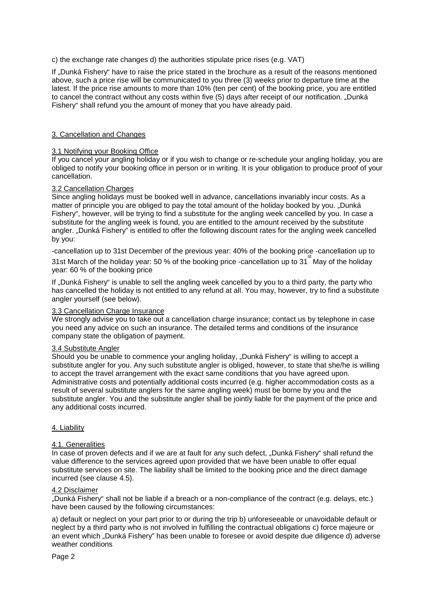c) the exchange rate changes d) the authorities stipulate price rises (e.g. VAT)

If ..Dunká Fishery" have to raise the price stated in the brochure as a result of the reasons mentioned above, such a price rise will be communicated to you three (3) weeks prior to departure time at the latest. If the price rise amounts to more than 10% (ten per cent) of the booking price, you are entitled to cancel the contract without any costs within five (5) days after receipt of our notification. "Dunká Fishery" shall refund you the amount of money that you have already paid.

## 3. Cancellation and Changes

## 3.1 Notifying your Booking Office

If you cancel your angling holiday or if you wish to change or re-schedule your angling holiday, you are obliged to notify your booking office in person or in writing. It is your obligation to produce proof of your cancellation.

# 3.2 Cancellation Charges

Since angling holidays must be booked well in advance, cancellations invariably incur costs. As a matter of principle you are obliged to pay the total amount of the holiday booked by you. "Dunká Fishery", however, will be trying to find a substitute for the angling week cancelled by you. In case a substitute for the angling week is found, you are entitled to the amount received by the substitute angler. "Dunká Fishery" is entitled to offer the following discount rates for the angling week cancelled by you:

-cancellation up to 31st December of the previous year: 40% of the booking price -cancellation up to

31st March of the holiday year: 50 % of the booking price -cancellation up to 31<sup>st</sup> May of the holiday year: 60 % of the booking price

If "Dunká Fishery" is unable to sell the angling week cancelled by you to a third party, the party who has cancelled the holiday is not entitled to any refund at all. You may, however, try to find a substitute angler yourself (see below).

## 3.3 Cancellation Charge Insurance

We strongly advise you to take out a cancellation charge insurance; contact us by telephone in case you need any advice on such an insurance. The detailed terms and conditions of the insurance company state the obligation of payment.

## 3.4 Substitute Angler

Should you be unable to commence your angling holiday, "Dunká Fishery" is willing to accept a substitute angler for you. Any such substitute angler is obliged, however, to state that she/he is willing to accept the travel arrangement with the exact same conditions that you have agreed upon. Administrative costs and potentially additional costs incurred (e.g. higher accommodation costs as a result of several substitute anglers for the same angling week) must be borne by you and the substitute angler. You and the substitute angler shall be jointly liable for the payment of the price and any additional costs incurred.

## 4. Liability

## 4.1. Generalities

In case of proven defects and if we are at fault for any such defect, "Dunká Fishery" shall refund the value difference to the services agreed upon provided that we have been unable to offer equal substitute services on site. The liability shall be limited to the booking price and the direct damage incurred (see clause 4.5).

## 4.2 Disclaimer

"Dunká Fishery" shall not be liable if a breach or a non-compliance of the contract (e.g. delays, etc.) have been caused by the following circumstances:

a) default or neglect on your part prior to or during the trip b) unforeseeable or unavoidable default or neglect by a third party who is not involved in fulfilling the contractual obligations c) force majeure or an event which "Dunká Fishery" has been unable to foresee or avoid despite due diligence d) adverse weather conditions

Page 2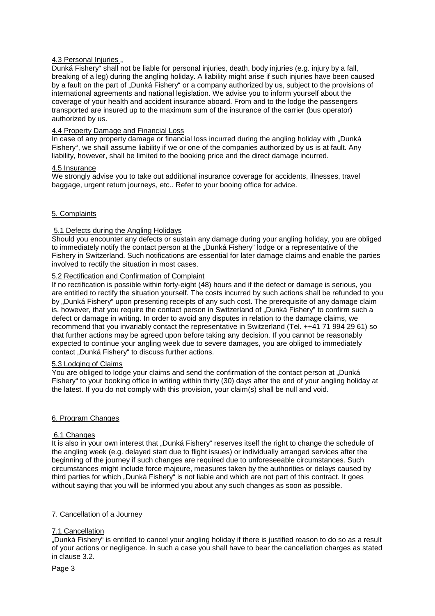# 4.3 Personal Injuries ..

Dunká Fishery" shall not be liable for personal injuries, death, body injuries (e.g. injury by a fall, breaking of a leg) during the angling holiday. A liability might arise if such injuries have been caused by a fault on the part of "Dunká Fishery" or a company authorized by us, subject to the provisions of international agreements and national legislation. We advise you to inform yourself about the coverage of your health and accident insurance aboard. From and to the lodge the passengers transported are insured up to the maximum sum of the insurance of the carrier (bus operator) authorized by us.

## 4.4 Property Damage and Financial Loss

In case of any property damage or financial loss incurred during the angling holiday with "Dunká Fishery", we shall assume liability if we or one of the companies authorized by us is at fault. Any liability, however, shall be limited to the booking price and the direct damage incurred.

## 4.5 Insurance

We strongly advise you to take out additional insurance coverage for accidents, illnesses, travel baggage, urgent return journeys, etc.. Refer to your booing office for advice.

# 5. Complaints

## 5.1 Defects during the Angling Holidays

Should you encounter any defects or sustain any damage during your angling holiday, you are obliged to immediately notify the contact person at the "Dunká Fishery" lodge or a representative of the Fishery in Switzerland. Such notifications are essential for later damage claims and enable the parties involved to rectify the situation in most cases.

## 5.2 Rectification and Confirmation of Complaint

If no rectification is possible within forty-eight (48) hours and if the defect or damage is serious, you are entitled to rectify the situation yourself. The costs incurred by such actions shall be refunded to you by "Dunká Fishery" upon presenting receipts of any such cost. The prerequisite of any damage claim is, however, that you require the contact person in Switzerland of "Dunká Fishery" to confirm such a defect or damage in writing. In order to avoid any disputes in relation to the damage claims, we recommend that you invariably contact the representative in Switzerland (Tel. ++41 71 994 29 61) so that further actions may be agreed upon before taking any decision. If you cannot be reasonably expected to continue your angling week due to severe damages, you are obliged to immediately contact "Dunká Fishery" to discuss further actions.

## 5.3 Lodging of Claims

You are obliged to lodge your claims and send the confirmation of the contact person at "Dunká Fishery" to your booking office in writing within thirty (30) days after the end of your angling holiday at the latest. If you do not comply with this provision, your claim(s) shall be null and void.

## 6. Program Changes

## 6.1 Changes

It is also in your own interest that ..Dunká Fishery" reserves itself the right to change the schedule of the angling week (e.g. delayed start due to flight issues) or individually arranged services after the beginning of the journey if such changes are required due to unforeseeable circumstances. Such circumstances might include force majeure, measures taken by the authorities or delays caused by third parties for which "Dunká Fishery" is not liable and which are not part of this contract. It goes without saying that you will be informed you about any such changes as soon as possible.

## 7. Cancellation of a Journey

## 7.1 Cancellation

"Dunká Fishery" is entitled to cancel your angling holiday if there is justified reason to do so as a result of your actions or negligence. In such a case you shall have to bear the cancellation charges as stated in clause 3.2.

Page 3